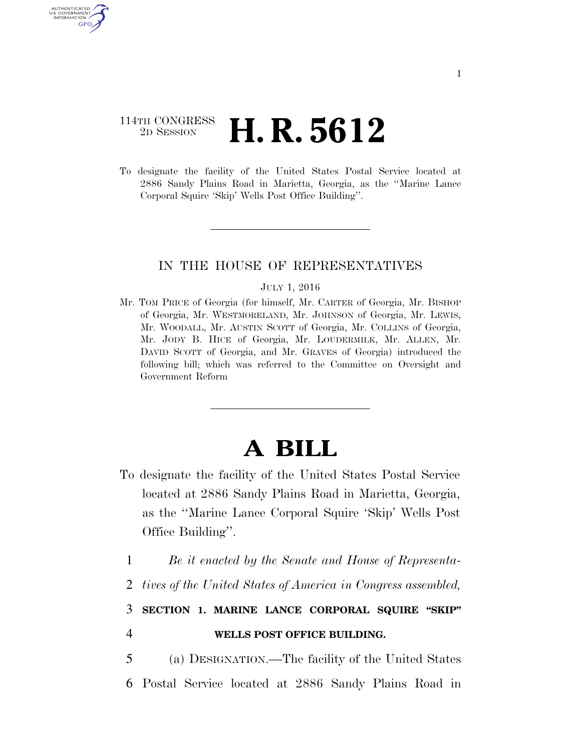## 114TH CONGRESS <sup>2D SESSION</sup> **H. R. 5612**

U.S. GOVERNMENT GPO

> To designate the facility of the United States Postal Service located at 2886 Sandy Plains Road in Marietta, Georgia, as the ''Marine Lance Corporal Squire 'Skip' Wells Post Office Building''.

## IN THE HOUSE OF REPRESENTATIVES

## JULY 1, 2016

Mr. TOM PRICE of Georgia (for himself, Mr. CARTER of Georgia, Mr. BISHOP of Georgia, Mr. WESTMORELAND, Mr. JOHNSON of Georgia, Mr. LEWIS, Mr. WOODALL, Mr. AUSTIN SCOTT of Georgia, Mr. COLLINS of Georgia, Mr. JODY B. HICE of Georgia, Mr. LOUDERMILK, Mr. ALLEN, Mr. DAVID SCOTT of Georgia, and Mr. GRAVES of Georgia) introduced the following bill; which was referred to the Committee on Oversight and Government Reform

## **A BILL**

- To designate the facility of the United States Postal Service located at 2886 Sandy Plains Road in Marietta, Georgia, as the ''Marine Lance Corporal Squire 'Skip' Wells Post Office Building''.
	- 1 *Be it enacted by the Senate and House of Representa-*
	- 2 *tives of the United States of America in Congress assembled,*

3 **SECTION 1. MARINE LANCE CORPORAL SQUIRE ''SKIP''**  4 **WELLS POST OFFICE BUILDING.** 

5 (a) DESIGNATION.—The facility of the United States 6 Postal Service located at 2886 Sandy Plains Road in